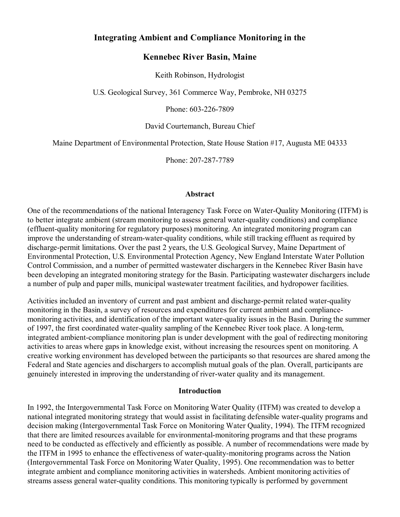# **Integrating Ambient and Compliance Monitoring in the**

### **Kennebec River Basin, Maine**

Keith Robinson, Hydrologist

U.S. Geological Survey, 361 Commerce Way, Pembroke, NH 03275

Phone: 603-226-7809

David Courtemanch, Bureau Chief

Maine Department of Environmental Protection, State House Station #17, Augusta ME 04333

Phone: 207-287-7789

#### **Abstract**

One of the recommendations of the national Interagency Task Force on Water-Quality Monitoring (ITFM) is to better integrate ambient (stream monitoring to assess general water-quality conditions) and compliance (effluent-quality monitoring for regulatory purposes) monitoring. An integrated monitoring program can improve the understanding of stream-water-quality conditions, while still tracking effluent as required by discharge-permit limitations. Over the past 2 years, the U.S. Geological Survey, Maine Department of Environmental Protection, U.S. Environmental Protection Agency, New England Interstate Water Pollution Control Commission, and a number of permitted wastewater dischargers in the Kennebec River Basin have been developing an integrated monitoring strategy for the Basin. Participating wastewater dischargers include a number of pulp and paper mills, municipal wastewater treatment facilities, and hydropower facilities.

Activities included an inventory of current and past ambient and discharge-permit related water-quality monitoring in the Basin, a survey of resources and expenditures for current ambient and compliancemonitoring activities, and identification of the important water-quality issues in the Basin. During the summer of 1997, the first coordinated water-quality sampling of the Kennebec River took place. A long-term, integrated ambient-compliance monitoring plan is under development with the goal of redirecting monitoring activities to areas where gaps in knowledge exist, without increasing the resources spent on monitoring. A creative working environment has developed between the participants so that resources are shared among the Federal and State agencies and dischargers to accomplish mutual goals of the plan. Overall, participants are genuinely interested in improving the understanding of river-water quality and its management.

#### **Introduction**

In 1992, the Intergovernmental Task Force on Monitoring Water Quality (ITFM) was created to develop a national integrated monitoring strategy that would assist in facilitating defensible water-quality programs and decision making (Intergovernmental Task Force on Monitoring Water Quality, 1994). The ITFM recognized that there are limited resources available for environmental-monitoring programs and that these programs need to be conducted as effectively and efficiently as possible. A number of recommendations were made by the ITFM in 1995 to enhance the effectiveness of water-quality-monitoring programs across the Nation (Intergovernmental Task Force on Monitoring Water Quality, 1995). One recommendation was to better integrate ambient and compliance monitoring activities in watersheds. Ambient monitoring activities of streams assess general water-quality conditions. This monitoring typically is performed by government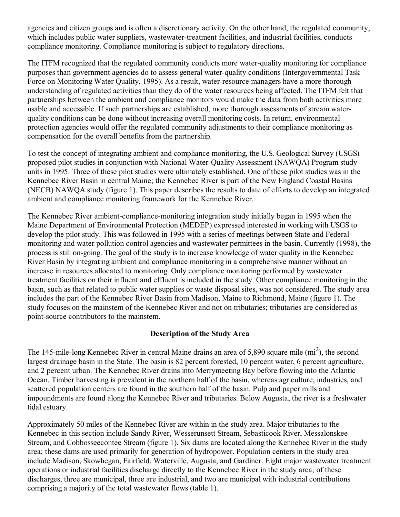agencies and citizen groups and is often a discretionary activity. On the other hand, the regulated community, which includes public water suppliers, wastewater-treatment facilities, and industrial facilities, conducts compliance monitoring. Compliance monitoring is subject to regulatory directions.

The ITFM recognized that the regulated community conducts more water-quality monitoring for compliance purposes than government agencies do to assess general water-quality conditions (Intergovernmental Task Force on Monitoring Water Quality, 1995). As a result, water-resource managers have a more thorough understanding of regulated activities than they do of the water resources being affected. The ITFM felt that partnerships between the ambient and compliance monitors would make the data from both activities more usable and accessible. If such partnerships are established, more thorough assessments of stream waterquality conditions can be done without increasing overall monitoring costs. In return, environmental protection agencies would offer the regulated community adjustments to their compliance monitoring as compensation for the overall benefits from the partnership.

To test the concept of integrating ambient and compliance monitoring, the U.S. Geological Survey (USGS) proposed pilot studies in conjunction with National Water-Quality Assessment (NAWQA) Program study units in 1995. Three of these pilot studies were ultimately established. One of these pilot studies was in the Kennebec River Basin in central Maine; the Kennebec River is part of the New England Coastal Basins (NECB) NAWQA study (figure 1). This paper describes the results to date of efforts to develop an integrated ambient and compliance monitoring framework for the Kennebec River.

The Kennebec River ambient-compliance-monitoring integration study initially began in 1995 when the Maine Department of Environmental Protection (MEDEP) expressed interested in working with USGS to develop the pilot study. This was followed in 1995 with a series of meetings between State and Federal monitoring and water pollution control agencies and wastewater permittees in the basin. Currently (1998), the process is still on-going. The goal of the study is to increase knowledge of water quality in the Kennebec River Basin by integrating ambient and compliance monitoring in a comprehensive manner without an increase in resources allocated to monitoring. Only compliance monitoring performed by wastewater treatment facilities on their influent and effluent is included in the study. Other compliance monitoring in the basin, such as that related to public water supplies or waste disposal sites, was not considered. The study area includes the part of the Kennebec River Basin from Madison, Maine to Richmond, Maine (figure 1). The study focuses on the mainstem of the Kennebec River and not on tributaries; tributaries are considered as point-source contributors to the mainstem.

### **Description of the Study Area**

The 145-mile-long Kennebec River in central Maine drains an area of 5,890 square mile  $(m<sup>2</sup>)$ , the second largest drainage basin in the State. The basin is 82 percent forested, 10 percent water, 6 percent agriculture, and 2 percent urban. The Kennebec River drains into Merrymeeting Bay before flowing into the Atlantic Ocean. Timber harvesting is prevalent in the northern half of the basin, whereas agriculture, industries, and scattered population centers are found in the southern half of the basin. Pulp and paper mills and impoundments are found along the Kennebec River and tributaries. Below Augusta, the river is a freshwater tidal estuary.

Approximately 50 miles of the Kennebec River are within in the study area. Major tributaries to the Kennebec in this section include Sandy River, Wesserunsett Stream, Sebasticook River, Messalonskee Stream, and Cobbosseecontee Stream (figure 1). Six dams are located along the Kennebec River in the study area; these dams are used primarily for generation of hydropower. Population centers in the study area include Madison, Skowhegan, Fairfield, Waterville, Augusta, and Gardiner. Eight major wastewater treatment operations or industrial facilities discharge directly to the Kennebec River in the study area; of these discharges, three are municipal, three are industrial, and two are municipal with industrial contributions comprising a majority of the total wastewater flows (table 1).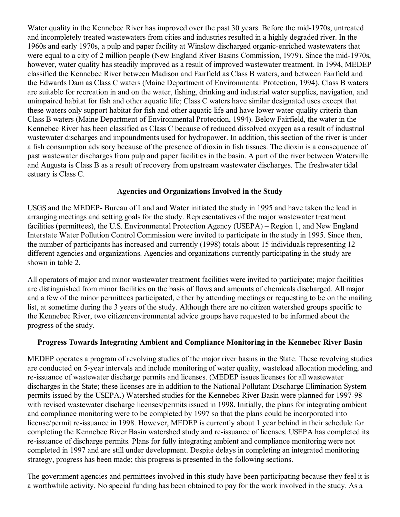Water quality in the Kennebec River has improved over the past 30 years. Before the mid-1970s, untreated and incompletely treated wastewaters from cities and industries resulted in a highly degraded river. In the 1960s and early 1970s, a pulp and paper facility at Winslow discharged organic-enriched wastewaters that were equal to a city of 2 million people (New England River Basins Commission, 1979). Since the mid-1970s, however, water quality has steadily improved as a result of improved wastewater treatment. In 1994, MEDEP classified the Kennebec River between Madison and Fairfield as Class B waters, and between Fairfield and the Edwards Dam as Class C waters (Maine Department of Environmental Protection, 1994). Class B waters are suitable for recreation in and on the water, fishing, drinking and industrial water supplies, navigation, and unimpaired habitat for fish and other aquatic life; Class C waters have similar designated uses except that these waters only support habitat for fish and other aquatic life and have lower water-quality criteria than Class B waters (Maine Department of Environmental Protection, 1994). Below Fairfield, the water in the Kennebec River has been classified as Class C because of reduced dissolved oxygen as a result of industrial wastewater discharges and impoundments used for hydropower. In addition, this section of the river is under a fish consumption advisory because of the presence of dioxin in fish tissues. The dioxin is a consequence of past wastewater discharges from pulp and paper facilities in the basin. A part of the river between Waterville and Augusta is Class B as a result of recovery from upstream wastewater discharges. The freshwater tidal estuary is Class C.

### **Agencies and Organizations Involved in the Study**

USGS and the MEDEP- Bureau of Land and Water initiated the study in 1995 and have taken the lead in arranging meetings and setting goals for the study. Representatives of the major wastewater treatment facilities (permittees), the U.S. Environmental Protection Agency (USEPA) – Region 1, and New England Interstate Water Pollution Control Commission were invited to participate in the study in 1995. Since then, the number of participants has increased and currently (1998) totals about 15 individuals representing 12 different agencies and organizations. Agencies and organizations currently participating in the study are shown in table 2.

All operators of major and minor wastewater treatment facilities were invited to participate; major facilities are distinguished from minor facilities on the basis of flows and amounts of chemicals discharged. All major and a few of the minor permittees participated, either by attending meetings or requesting to be on the mailing list, at sometime during the 3 years of the study. Although there are no citizen watershed groups specific to the Kennebec River, two citizen/environmental advice groups have requested to be informed about the progress of the study.

### **Progress Towards Integrating Ambient and Compliance Monitoring in the Kennebec River Basin**

MEDEP operates a program of revolving studies of the major river basins in the State. These revolving studies are conducted on 5-year intervals and include monitoring of water quality, wasteload allocation modeling, and re-issuance of wastewater discharge permits and licenses. (MEDEP issues licenses for all wastewater discharges in the State; these licenses are in addition to the National Pollutant Discharge Elimination System permits issued by the USEPA.) Watershed studies for the Kennebec River Basin were planned for 1997-98 with revised wastewater discharge licenses/permits issued in 1998. Initially, the plans for integrating ambient and compliance monitoring were to be completed by 1997 so that the plans could be incorporated into license/permit re-issuance in 1998. However, MEDEP is currently about 1 year behind in their schedule for completing the Kennebec River Basin watershed study and re-issuance of licenses. USEPA has completed its re-issuance of discharge permits. Plans for fully integrating ambient and compliance monitoring were not completed in 1997 and are still under development. Despite delays in completing an integrated monitoring strategy, progress has been made; this progress is presented in the following sections.

The government agencies and permittees involved in this study have been participating because they feel it is a worthwhile activity. No special funding has been obtained to pay for the work involved in the study. As a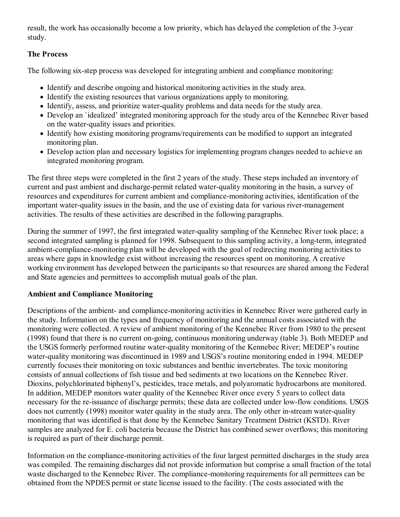result, the work has occasionally become a low priority, which has delayed the completion of the 3-year study.

# **The Process**

The following six-step process was developed for integrating ambient and compliance monitoring:

- Identify and describe ongoing and historical monitoring activities in the study area.
- Identify the existing resources that various organizations apply to monitoring.
- Identify, assess, and prioritize water-quality problems and data needs for the study area.
- Develop an `idealized' integrated monitoring approach for the study area of the Kennebec River based on the water-quality issues and priorities.
- Identify how existing monitoring programs/requirements can be modified to support an integrated monitoring plan.
- Develop action plan and necessary logistics for implementing program changes needed to achieve an integrated monitoring program.

The first three steps were completed in the first 2 years of the study. These steps included an inventory of current and past ambient and discharge-permit related water-quality monitoring in the basin, a survey of resources and expenditures for current ambient and compliance-monitoring activities, identification of the important water-quality issues in the basin, and the use of existing data for various river-management activities. The results of these activities are described in the following paragraphs.

During the summer of 1997, the first integrated water-quality sampling of the Kennebec River took place; a second integrated sampling is planned for 1998. Subsequent to this sampling activity, a long-term, integrated ambient-compliance-monitoring plan will be developed with the goal of redirecting monitoring activities to areas where gaps in knowledge exist without increasing the resources spent on monitoring. A creative working environment has developed between the participants so that resources are shared among the Federal and State agencies and permittees to accomplish mutual goals of the plan.

# **Ambient and Compliance Monitoring**

Descriptions of the ambient- and compliance-monitoring activities in Kennebec River were gathered early in the study. Information on the types and frequency of monitoring and the annual costs associated with the monitoring were collected. A review of ambient monitoring of the Kennebec River from 1980 to the present (1998) found that there is no current on-going, continuous monitoring underway (table 3). Both MEDEP and the USGS formerly performed routine water-quality monitoring of the Kennebec River; MEDEP's routine water-quality monitoring was discontinued in 1989 and USGS's routine monitoring ended in 1994. MEDEP currently focuses their monitoring on toxic substances and benthic invertebrates. The toxic monitoring consists of annual collections of fish tissue and bed sediments at two locations on the Kennebec River. Dioxins, polychlorinated biphenyl's, pesticides, trace metals, and polyaromatic hydrocarbons are monitored. In addition, MEDEP monitors water quality of the Kennebec River once every 5 years to collect data necessary for the re-issuance of discharge permits; these data are collected under low-flow conditions. USGS does not currently (1998) monitor water quality in the study area. The only other in-stream water-quality monitoring that was identified is that done by the Kennebec Sanitary Treatment District (KSTD). River samples are analyzed for E. coli bacteria because the District has combined sewer overflows; this monitoring is required as part of their discharge permit.

Information on the compliance-monitoring activities of the four largest permitted discharges in the study area was compiled. The remaining discharges did not provide information but comprise a small fraction of the total waste discharged to the Kennebec River. The compliance-monitoring requirements for all permittees can be obtained from the NPDES permit or state license issued to the facility. (The costs associated with the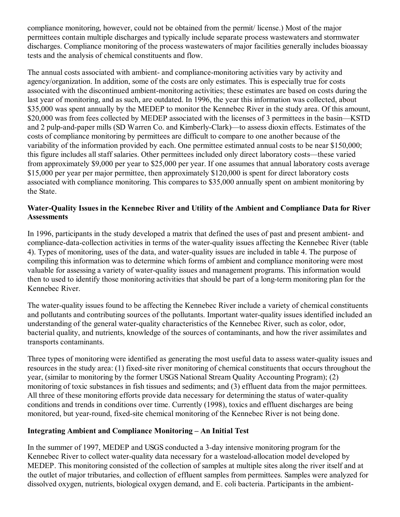compliance monitoring, however, could not be obtained from the permit/ license.) Most of the major permittees contain multiple discharges and typically include separate process wastewaters and stormwater discharges. Compliance monitoring of the process wastewaters of major facilities generally includes bioassay tests and the analysis of chemical constituents and flow.

The annual costs associated with ambient- and compliance-monitoring activities vary by activity and agency/organization. In addition, some of the costs are only estimates. This is especially true for costs associated with the discontinued ambient-monitoring activities; these estimates are based on costs during the last year of monitoring, and as such, are outdated. In 1996, the year this information was collected, about \$35,000 was spent annually by the MEDEP to monitor the Kennebec River in the study area. Of this amount, \$20,000 was from fees collected by MEDEP associated with the licenses of 3 permittees in the basin—KSTD and 2 pulp-and-paper mills (SD Warren Co. and Kimberly-Clark)—to assess dioxin effects. Estimates of the costs of compliance monitoring by permittees are difficult to compare to one another because of the variability of the information provided by each. One permittee estimated annual costs to be near \$150,000; this figure includes all staff salaries. Other permittees included only direct laboratory costs—these varied from approximately \$9,000 per year to \$25,000 per year. If one assumes that annual laboratory costs average \$15,000 per year per major permittee, then approximately \$120,000 is spent for direct laboratory costs associated with compliance monitoring. This compares to \$35,000 annually spent on ambient monitoring by the State.

# **Water-Quality Issues in the Kennebec River and Utility of the Ambient and Compliance Data for River Assessments**

In 1996, participants in the study developed a matrix that defined the uses of past and present ambient- and compliance-data-collection activities in terms of the water-quality issues affecting the Kennebec River (table 4). Types of monitoring, uses of the data, and water-quality issues are included in table 4. The purpose of compiling this information was to determine which forms of ambient and compliance monitoring were most valuable for assessing a variety of water-quality issues and management programs. This information would then to used to identify those monitoring activities that should be part of a long-term monitoring plan for the Kennebec River.

The water-quality issues found to be affecting the Kennebec River include a variety of chemical constituents and pollutants and contributing sources of the pollutants. Important water-quality issues identified included an understanding of the general water-quality characteristics of the Kennebec River, such as color, odor, bacterial quality, and nutrients, knowledge of the sources of contaminants, and how the river assimilates and transports contaminants.

Three types of monitoring were identified as generating the most useful data to assess water-quality issues and resources in the study area: (1) fixed-site river monitoring of chemical constituents that occurs throughout the year, (similar to monitoring by the former USGS National Stream Quality Accounting Program); (2) monitoring of toxic substances in fish tissues and sediments; and (3) effluent data from the major permittees. All three of these monitoring efforts provide data necessary for determining the status of water-quality conditions and trends in conditions over time. Currently (1998), toxics and effluent discharges are being monitored, but year-round, fixed-site chemical monitoring of the Kennebec River is not being done.

# **Integrating Ambient and Compliance Monitoring – An Initial Test**

In the summer of 1997, MEDEP and USGS conducted a 3-day intensive monitoring program for the Kennebec River to collect water-quality data necessary for a wasteload-allocation model developed by MEDEP. This monitoring consisted of the collection of samples at multiple sites along the river itself and at the outlet of major tributaries, and collection of effluent samples from permittees. Samples were analyzed for dissolved oxygen, nutrients, biological oxygen demand, and E. coli bacteria. Participants in the ambient-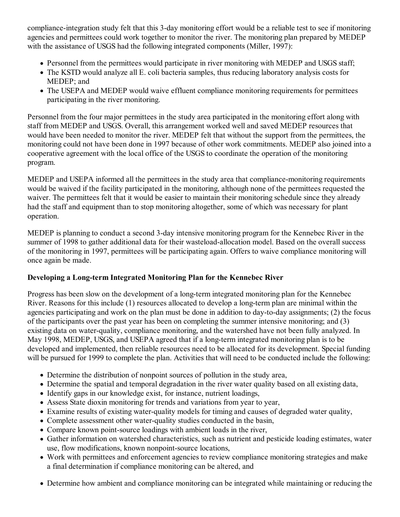compliance-integration study felt that this 3-day monitoring effort would be a reliable test to see if monitoring agencies and permittees could work together to monitor the river. The monitoring plan prepared by MEDEP with the assistance of USGS had the following integrated components (Miller, 1997):

- Personnel from the permittees would participate in river monitoring with MEDEP and USGS staff;
- The KSTD would analyze all E. coli bacteria samples, thus reducing laboratory analysis costs for MEDEP; and
- The USEPA and MEDEP would waive effluent compliance monitoring requirements for permittees participating in the river monitoring.

Personnel from the four major permittees in the study area participated in the monitoring effort along with staff from MEDEP and USGS. Overall, this arrangement worked well and saved MEDEP resources that would have been needed to monitor the river. MEDEP felt that without the support from the permittees, the monitoring could not have been done in 1997 because of other work commitments. MEDEP also joined into a cooperative agreement with the local office of the USGS to coordinate the operation of the monitoring program.

MEDEP and USEPA informed all the permittees in the study area that compliance-monitoring requirements would be waived if the facility participated in the monitoring, although none of the permittees requested the waiver. The permittees felt that it would be easier to maintain their monitoring schedule since they already had the staff and equipment than to stop monitoring altogether, some of which was necessary for plant operation.

MEDEP is planning to conduct a second 3-day intensive monitoring program for the Kennebec River in the summer of 1998 to gather additional data for their wasteload-allocation model. Based on the overall success of the monitoring in 1997, permittees will be participating again. Offers to waive compliance monitoring will once again be made.

# **Developing a Long-term Integrated Monitoring Plan for the Kennebec River**

Progress has been slow on the development of a long-term integrated monitoring plan for the Kennebec River. Reasons for this include (1) resources allocated to develop a long-term plan are minimal within the agencies participating and work on the plan must be done in addition to day-to-day assignments; (2) the focus of the participants over the past year has been on completing the summer intensive monitoring; and (3) existing data on water-quality, compliance monitoring, and the watershed have not been fully analyzed. In May 1998, MEDEP, USGS, and USEPA agreed that if a long-term integrated monitoring plan is to be developed and implemented, then reliable resources need to be allocated for its development. Special funding will be pursued for 1999 to complete the plan. Activities that will need to be conducted include the following:

- Determine the distribution of nonpoint sources of pollution in the study area,
- Determine the spatial and temporal degradation in the river water quality based on all existing data,
- Identify gaps in our knowledge exist, for instance, nutrient loadings,
- Assess State dioxin monitoring for trends and variations from year to year,
- Examine results of existing water-quality models for timing and causes of degraded water quality,
- Complete assessment other water-quality studies conducted in the basin,
- Compare known point-source loadings with ambient loads in the river,
- Gather information on watershed characteristics, such as nutrient and pesticide loading estimates, water use, flow modifications, known nonpoint-source locations,
- Work with permittees and enforcement agencies to review compliance monitoring strategies and make a final determination if compliance monitoring can be altered, and
- Determine how ambient and compliance monitoring can be integrated while maintaining or reducing the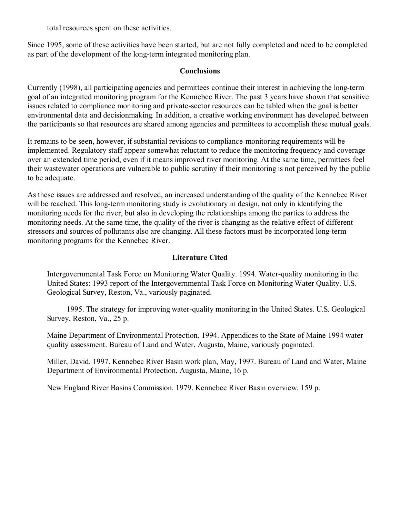total resources spent on these activities.

Since 1995, some of these activities have been started, but are not fully completed and need to be completed as part of the development of the long-term integrated monitoring plan.

### **Conclusions**

Currently (1998), all participating agencies and permittees continue their interest in achieving the long-term goal of an integrated monitoring program for the Kennebec River. The past 3 years have shown that sensitive issues related to compliance monitoring and private-sector resources can be tabled when the goal is better environmental data and decisionmaking. In addition, a creative working environment has developed between the participants so that resources are shared among agencies and permittees to accomplish these mutual goals.

It remains to be seen, however, if substantial revisions to compliance-monitoring requirements will be implemented. Regulatory staff appear somewhat reluctant to reduce the monitoring frequency and coverage over an extended time period, even if it means improved river monitoring. At the same time, permittees feel their wastewater operations are vulnerable to public scrutiny if their monitoring is not perceived by the public to be adequate.

As these issues are addressed and resolved, an increased understanding of the quality of the Kennebec River will be reached. This long-term monitoring study is evolutionary in design, not only in identifying the monitoring needs for the river, but also in developing the relationships among the parties to address the monitoring needs. At the same time, the quality of the river is changing as the relative effect of different stressors and sources of pollutants also are changing. All these factors must be incorporated long-term monitoring programs for the Kennebec River.

### **Literature Cited**

Intergovernmental Task Force on Monitoring Water Quality. 1994. Water-quality monitoring in the United States: 1993 report of the Intergovernmental Task Force on Monitoring Water Quality. U.S. Geological Survey, Reston, Va., variously paginated.

\_\_\_\_\_1995. The strategy for improving water-quality monitoring in the United States. U.S. Geological Survey, Reston, Va., 25 p.

Maine Department of Environmental Protection. 1994. Appendices to the State of Maine 1994 water quality assessment. Bureau of Land and Water, Augusta, Maine, variously paginated.

Miller, David. 1997. Kennebec River Basin work plan, May, 1997. Bureau of Land and Water, Maine Department of Environmental Protection, Augusta, Maine, 16 p.

New England River Basins Commission. 1979. Kennebec River Basin overview. 159 p.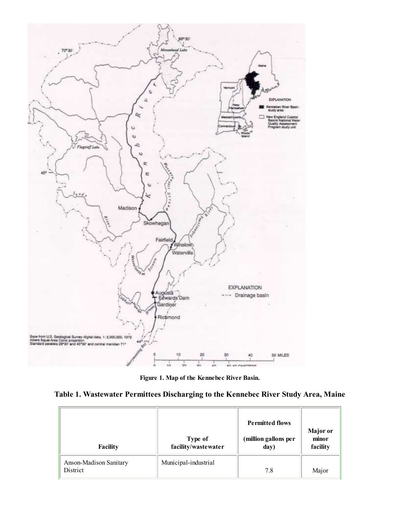

**Figure 1. Map of the Kennebec River Basin.**

| Table 1. Wastewater Permittees Discharging to the Kennebec River Study Area, Maine |  |  |  |  |
|------------------------------------------------------------------------------------|--|--|--|--|
|                                                                                    |  |  |  |  |

| <b>Facility</b>                    | Type of<br>facility/wastewater | <b>Permitted flows</b><br>(million gallons per<br>day) | <b>Major</b> or<br>minor<br>facility |
|------------------------------------|--------------------------------|--------------------------------------------------------|--------------------------------------|
| Anson-Madison Sanitary<br>District | Municipal-industrial           | 7.8                                                    | Major                                |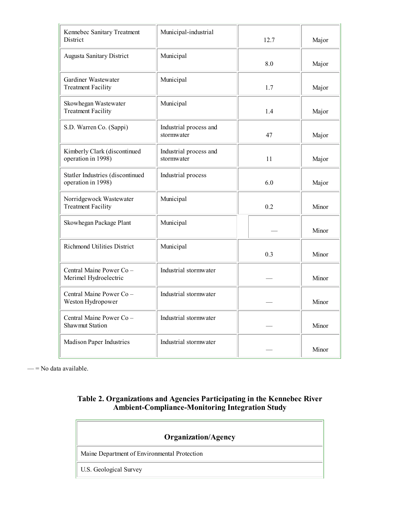| Kennebec Sanitary Treatment<br>District                | Municipal-industrial                 | 12.7 | Major |
|--------------------------------------------------------|--------------------------------------|------|-------|
| <b>Augusta Sanitary District</b>                       | Municipal                            | 8.0  | Major |
| Gardiner Wastewater<br><b>Treatment Facility</b>       | Municipal                            | 1.7  | Major |
| Skowhegan Wastewater<br><b>Treatment Facility</b>      | Municipal                            | 1.4  | Major |
| S.D. Warren Co. (Sappi)                                | Industrial process and<br>stormwater | 47   | Major |
| Kimberly Clark (discontinued<br>operation in 1998)     | Industrial process and<br>stormwater | 11   | Major |
| Statler Industries (discontinued<br>operation in 1998) | Industrial process                   | 6.0  | Major |
| Norridgewock Wastewater<br><b>Treatment Facility</b>   | Municipal                            | 0.2  | Minor |
| Skowhegan Package Plant                                | Municipal                            |      | Minor |
| <b>Richmond Utilities District</b>                     | Municipal                            | 0.3  | Minor |
| Central Maine Power Co-<br>Merimel Hydroelectric       | Industrial stormwater                |      | Minor |
| Central Maine Power Co-<br>Weston Hydropower           | Industrial stormwater                |      | Minor |
| Central Maine Power Co-<br><b>Shawmut Station</b>      | Industrial stormwater                |      | Minor |
| Madison Paper Industries                               | Industrial stormwater                |      | Minor |

 $=$  No data available.

### **Table 2. Organizations and Agencies Participating in the Kennebec River Ambient-Compliance-Monitoring Integration Study**

| <b>Organization/Agency</b>                   |  |  |  |
|----------------------------------------------|--|--|--|
| Maine Department of Environmental Protection |  |  |  |
| <b>U.S. Geological Survey</b>                |  |  |  |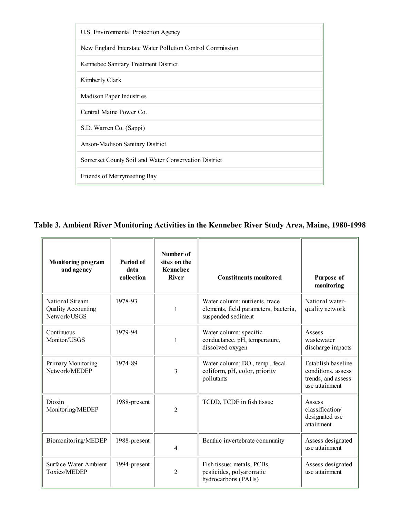

**Table 3. Ambient River Monitoring Activities in the Kennebec River Study Area, Maine, 1980-1998**

| <b>Monitoring program</b><br>and agency                      | Period of<br>data<br>collection | Number of<br>sites on the<br><b>Kennebec</b><br><b>River</b> | <b>Constituents monitored</b>                                                                 | Purpose of<br>monitoring                                                         |
|--------------------------------------------------------------|---------------------------------|--------------------------------------------------------------|-----------------------------------------------------------------------------------------------|----------------------------------------------------------------------------------|
| National Stream<br><b>Quality Accounting</b><br>Network/USGS | 1978-93                         | $\mathbf{1}$                                                 | Water column: nutrients, trace<br>elements, field parameters, bacteria,<br>suspended sediment | National water-<br>quality network                                               |
| Continuous<br>Monitor/USGS                                   | 1979-94                         | 1                                                            | Water column: specific<br>conductance, pH, temperature,<br>dissolved oxygen                   | Assess<br>wastewater<br>discharge impacts                                        |
| Primary Monitoring<br>Network/MEDEP                          | 1974-89                         | 3                                                            | Water column: DO., temp., fecal<br>coliform, pH, color, priority<br>pollutants                | Establish baseline<br>conditions, assess<br>trends, and assess<br>use attainment |
| Dioxin<br>Monitoring/MEDEP                                   | 1988-present                    | $\overline{2}$                                               | TCDD, TCDF in fish tissue                                                                     | Assess<br>classification/<br>designated use<br>attainment                        |
| Biomonitoring/MEDEP                                          | 1988-present                    | $\overline{4}$                                               | Benthic invertebrate community                                                                | Assess designated<br>use attainment                                              |
| <b>Surface Water Ambient</b><br>Toxics/MEDEP                 | 1994-present                    | $\overline{2}$                                               | Fish tissue: metals, PCBs,<br>pesticides, polyaromatic<br>hydrocarbons (PAHs)                 | Assess designated<br>use attainment                                              |